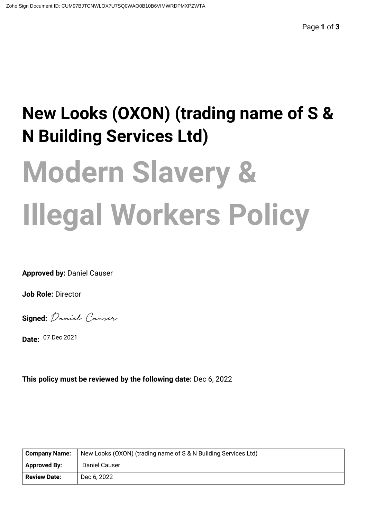# **New Looks (OXON) (trading name of S & N Building Services Ltd)**

# **Modern Slavery & Illegal Workers Policy**

**Approved by:** Daniel Causer

**Job Role:** Director

**Signed:** Daniel Courser

**Date:** 07 Dec 2021

**This policy must be reviewed by the following date:** Dec 6, 2022

| <b>Company Name:</b> | New Looks (OXON) (trading name of S & N Building Services Ltd) |
|----------------------|----------------------------------------------------------------|
| <b>Approved By:</b>  | Daniel Causer                                                  |
| <b>Review Date:</b>  | Dec 6, 2022                                                    |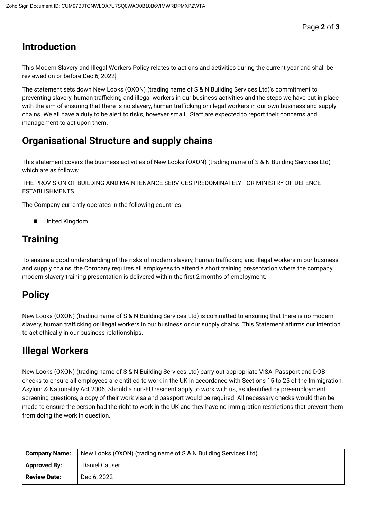### **Introduction**

This Modern Slavery and Illegal Workers Policy relates to actions and activities during the current year and shall be reviewed on or before Dec 6, 2022.

The statement sets down New Looks (OXON) (trading name of S & N Building Services Ltd)'s commitment to preventing slavery, human trafficking and illegal workers in our business activities and the steps we have put in place with the aim of ensuring that there is no slavery, human trafficking or illegal workers in our own business and supply chains. We all have a duty to be alert to risks, however small. Staff are expected to report their concerns and management to act upon them.

### **Organisational Structure and supply chains**

This statement covers the business activities of New Looks (OXON) (trading name of S & N Building Services Ltd) which are as follows:

THE PROVISION OF BUILDING AND MAINTENANCE SERVICES PREDOMINATELY FOR MINISTRY OF DEFENCE ESTABLISHMENTS.

The Company currently operates in the following countries:

■ United Kingdom

## **Training**

To ensure a good understanding of the risks of modern slavery, human trafficking and illegal workers in our business and supply chains, the Company requires all employees to attend a short training presentation where the company modern slavery training presentation is delivered within the first 2 months of employment.

### **Policy**

New Looks (OXON) (trading name of S & N Building Services Ltd) is committed to ensuring that there is no modern slavery, human trafficking or illegal workers in our business or our supply chains. This Statement affirms our intention to act ethically in our business relationships.

### **Illegal Workers**

New Looks (OXON) (trading name of S & N Building Services Ltd) carry out appropriate VISA, Passport and DOB checks to ensure all employees are entitled to work in the UK in accordance with Sections 15 to 25 of the Immigration, Asylum & Nationality Act 2006. Should a non-EU resident apply to work with us, as identified by pre-employment screening questions, a copy of their work visa and passport would be required. All necessary checks would then be made to ensure the person had the right to work in the UK and they have no immigration restrictions that prevent them from doing the work in question.

| <b>Company Name:</b> | New Looks (OXON) (trading name of S & N Building Services Ltd) |
|----------------------|----------------------------------------------------------------|
| <b>Approved By:</b>  | Daniel Causer                                                  |
| <b>Review Date:</b>  | Dec 6, 2022                                                    |